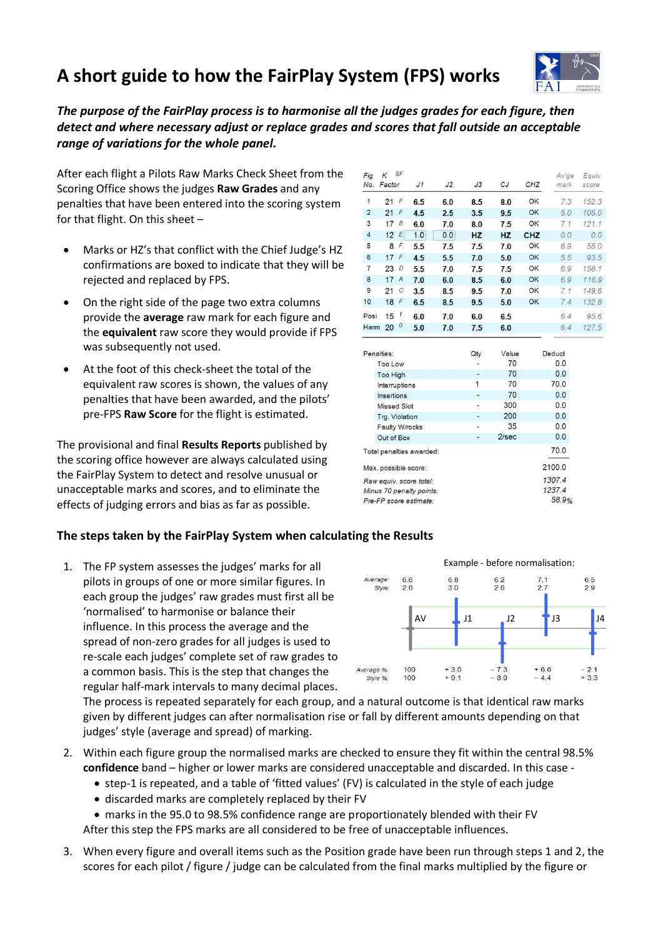# **A short guide to how the FairPlay System (FPS) works**



*The purpose of the FairPlay process is to harmonise all the judges grades for each figure, then detect and where necessary adjust or replace grades and scores that fall outside an acceptable range of variations for the whole panel.*

After each flight a Pilots Raw Marks Check Sheet from the Scoring Office shows the judges **Raw Grades** and any penalties that have been entered into the scoring system for that flight. On this sheet –

- Marks or HZ's that conflict with the Chief Judge's HZ confirmations are boxed to indicate that they will be rejected and replaced by FPS.
- On the right side of the page two extra columns provide the **average** raw mark for each figure and the **equivalent** raw score they would provide if FPS was subsequently not used.
- At the foot of this check-sheet the total of the equivalent raw scores is shown, the values of any penalties that have been awarded, and the pilots' pre-FPS **Raw Score** for the flight is estimated.

The provisional and final **Results Reports** published by the scoring office however are always calculated using the FairPlay System to detect and resolve unusual or unacceptable marks and scores, and to eliminate the effects of judging errors and bias as far as possible.

## **The steps taken by the FairPlay System when calculating the Results**

1. The FP system assesses the judges' marks for all pilots in groups of one or more similar figures. In each group the judges' raw grades must first all be 'normalised' to harmonise or balance their influence. In this process the average and the spread of non-zero grades for all judges is used to re-scale each judges' complete set of raw grades to a common basis. This is the step that changes the regular half-mark intervals to many decimal places.

The process is repeated separately for each group, and a natural outcome is that identical raw marks given by different judges can after normalisation rise or fall by different amounts depending on that judges' style (average and spread) of marking.

- 2. Within each figure group the normalised marks are checked to ensure they fit within the central 98.5% **confidence** band – higher or lower marks are considered unacceptable and discarded. In this case -
	- step-1 is repeated, and a table of 'fitted values' (FV) is calculated in the style of each judge
	- discarded marks are completely replaced by their FV
	- marks in the 95.0 to 98.5% confidence range are proportionately blended with their FV

After this step the FPS marks are all considered to be free of unacceptable influences.

3. When every figure and overall items such as the Position grade have been run through steps 1 and 2, the scores for each pilot / figure / judge can be calculated from the final marks multiplied by the figure or

| Fig<br>No.     | Κ<br>Factor      | SF                        | J <sub>1</sub> | J <sub>2</sub> | J3  | CJ    | CHZ | Av'ge<br>mark | Equiv.<br>score |
|----------------|------------------|---------------------------|----------------|----------------|-----|-------|-----|---------------|-----------------|
| 1              | 21               | F                         | 6.5            | 6.0            | 8.5 | 8.0   | OK  | 7.3           | 152.3           |
| $\overline{2}$ | 21               | F                         | 4.5            | 2.5            | 3.5 | 9.5   | OK  | 5.0           | 105.0           |
| 3              | 17               | B                         | 6.0            | 7.0            | 8.0 | 7.5   | OK  | 7.1           | 121.1           |
| $\overline{4}$ | 12 <sup>12</sup> | $\boldsymbol{\mathsf{E}}$ | 1.0            | 0.0            | HZ  | HZ    | CHZ | 0.0           | 0.0             |
| 5              | 8                | F                         | 5.5            | 7.5            | 7.5 | 7.0   | OK  | 6.9           | 55.0            |
| 6              | 17F              |                           | 4.5            | 5.5            | 7.0 | 5.0   | OK  | 5.5           | 93.5            |
| 7              | 23               | $\overline{D}$            | 5.5            | 7.0            | 7.5 | 7.5   | OK  | 6.9           | 158.1           |
| 8              | 17A              |                           | 7.0            | 6.0            | 8.5 | 6.0   | OK  | 6.9           | 116.9           |
| 9              | 21               | $\mathcal{C}$             | 3.5            | 8.5            | 9.5 | 7.0   | OK  | 7.1           | 149.6           |
| 10             | 18               | $\sqrt{2}$                | 6.5            | 8.5            | 9.5 | 5.0   | OK  | 7.4           | 132.8           |
| Posi           | 15               | $\mathbf{1}$              | 6.0            | 7.0            | 6.0 | 6.5   |     | 6.4           | 95.6            |
| Harm $200$     |                  |                           | 5.0            | 7.0            | 7.5 | 6.0   |     | 6.4           | 127.5           |
| Penalties:     |                  |                           |                |                | Qtv | Value |     | <b>Deduct</b> |                 |

| Penalties:               |                          | Qty | Value | <b>Deduct</b> |
|--------------------------|--------------------------|-----|-------|---------------|
|                          | <b>Too Low</b>           |     | 70    | 0.0           |
|                          | <b>Too High</b>          |     | 70    | 0.0           |
|                          | Interruptions            | 1   | 70    | 70.0          |
|                          | Insertions               | ٠   | 70    | 0.0           |
|                          | <b>Missed Slot</b>       | ۰   | 300   | 0.0           |
|                          | Trg. Violation           | -   | 200   | 0.0           |
|                          | <b>Faulty W/rocks</b>    | ۷   | 35    | 0.0           |
|                          | Out of Box               |     | 2/sec | 0.0           |
| Total penalties awarded: |                          |     |       | 70.0          |
|                          | Max. possible score:     |     |       | 2100.0        |
|                          | Raw equiv. score total:  |     |       | 1307.4        |
|                          | Minus 70 penalty points: |     |       | 1237.4        |
|                          | Pre-FP score estimate:   |     |       | 58.9%         |